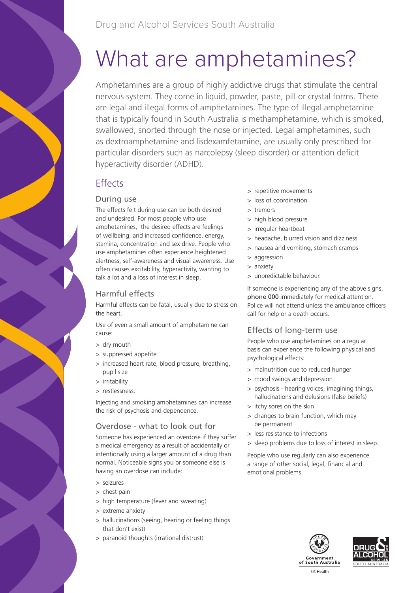# What are amphetamines?

Amphetamines are a group of highly addictive drugs that stimulate the central nervous system. They come in liquid, powder, paste, pill or crystal forms. There are legal and illegal forms of amphetamines. The type of illegal amphetamine that is typically found in South Australia is methamphetamine, which is smoked, swallowed, snorted through the nose or injected. Legal amphetamines, such as dextroamphetamine and lisdexamfetamine, are usually only prescribed for particular disorders such as narcolepsy (sleep disorder) or attention deficit hyperactivity disorder (ADHD).

# **Effects**

#### During use

The effects felt during use can be both desired and undesired. For most people who use amphetamines, the desired effects are feelings of wellbeing, and increased confidence, energy, stamina, concentration and sex drive. People who use amphetamines often experience heightened alertness, self-awareness and visual awareness. Use often causes excitability, hyperactivity, wanting to talk a lot and a loss of interest in sleep.

### Harmful effects

Harmful effects can be fatal, usually due to stress on the heart.

Use of even a small amount of amphetamine can cause:

- > dry mouth
- > suppressed appetite
- > increased heart rate, blood pressure, breathing, pupil size
- > irritability
- > restlessness.

Injecting and smoking amphetamines can increase the risk of psychosis and dependence.

#### Overdose - what to look out for

Someone has experienced an overdose if they suffer a medical emergency as a result of accidentally or intentionally using a larger amount of a drug than normal. Noticeable signs you or someone else is having an overdose can include:

- > seizures
- > chest pain
- > high temperature (fever and sweating)
- > extreme anxiety
- > hallucinations (seeing, hearing or feeling things that don't exist)
- > paranoid thoughts (irrational distrust)
- > repetitive movements
- > loss of coordination
- > tremors
- > high blood pressure
- > irregular heartbeat
- > headache, blurred vision and dizziness
- > nausea and vomiting, stomach cramps
- > aggression
- > anxiety
- > unpredictable behaviour.

If someone is experiencing any of the above signs, phone 000 immediately for medical attention. Police will not attend unless the ambulance officers call for help or a death occurs.

#### Effects of long-term use

People who use amphetamines on a regular basis can experience the following physical and psychological effects:

- > malnutrition due to reduced hunger
- > mood swings and depression
- > psychosis hearing voices, imagining things, hallucinations and delusions (false beliefs)
- > itchy sores on the skin
- > changes to brain function, which may be permanent
- > less resistance to infections
- > sleep problems due to loss of interest in sleep.

People who use regularly can also experience a range of other social, legal, financial and emotional problems.